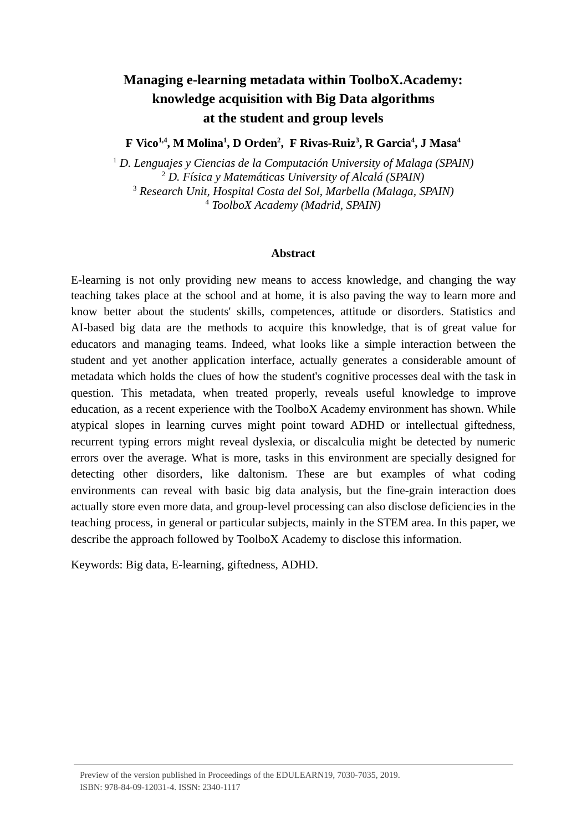# **Managing e-learning metadata within ToolboX.Academy: knowledge acquisition with Big Data algorithms at the student and group levels**

**F Vico 1,4 , M Molina <sup>1</sup> , D Orden <sup>2</sup> , F Rivas-Ruiz <sup>3</sup> , R Garcia <sup>4</sup> , J Masa <sup>4</sup>**

<sup>1</sup> D. Lenguajes y Ciencias de la Computación University of Malaga (SPAIN) *D. Física y Matemáticas University of Alcalá (SPAIN) Research Unit, Hospital Costa del Sol, Marbella (Malaga, SPAIN) ToolboX Academy (Madrid, SPAIN)*

#### **Abstract**

E-learning is not only providing new means to access knowledge, and changing the way teaching takes place at the school and at home, it is also paving the way to learn more and know better about the students' skills, competences, attitude or disorders. Statistics and AI-based big data are the methods to acquire this knowledge, that is of great value for educators and managing teams. Indeed, what looks like a simple interaction between the student and yet another application interface, actually generates a considerable amount of metadata which holds the clues of how the student's cognitive processes deal with the task in question. This metadata, when treated properly, reveals useful knowledge to improve education, as a recent experience with the ToolboX Academy environment has shown. While atypical slopes in learning curves might point toward ADHD or intellectual giftedness, recurrent typing errors might reveal dyslexia, or discalculia might be detected by numeric errors over the average. What is more, tasks in this environment are specially designed for detecting other disorders, like daltonism. These are but examples of what coding environments can reveal with basic big data analysis, but the fine-grain interaction does actually store even more data, and group-level processing can also disclose deficiencies in the teaching process, in general or particular subjects, mainly in the STEM area. In this paper, we describe the approach followed by ToolboX Academy to disclose this information.

Keywords: Big data, E-learning, giftedness, ADHD.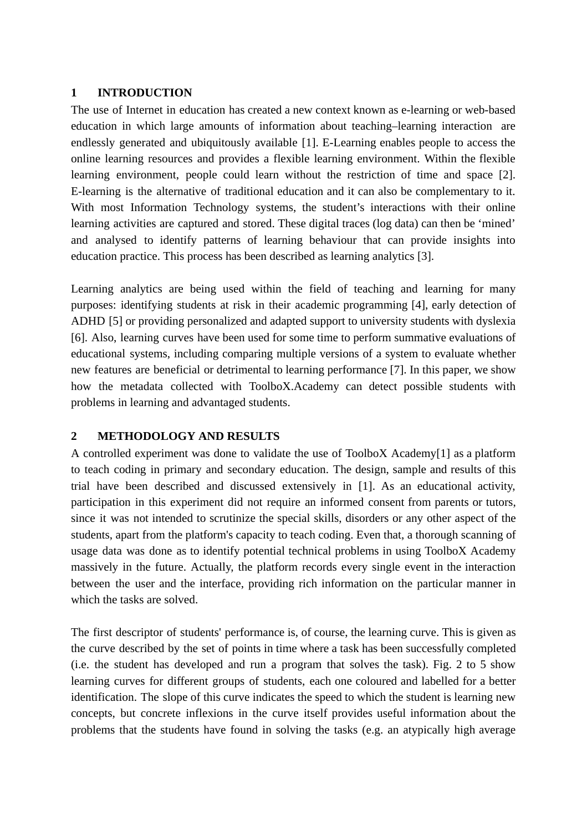## **1 INTRODUCTION**

The use of Internet in education has created a new context known as e-learning or web-based education in which large amounts of information about teaching–learning interaction are endlessly generated and ubiquitously available [1]. E-Learning enables people to access the online learning resources and provides a flexible learning environment. Within the flexible learning environment, people could learn without the restriction of time and space [2]. E-learning is the alternative of traditional education and it can also be complementary to it. With most Information Technology systems, the student's interactions with their online learning activities are captured and stored. These digital traces (log data) can then be 'mined' and analysed to identify patterns of learning behaviour that can provide insights into education practice. This process has been described as learning analytics [3].

Learning analytics are being used within the field of teaching and learning for many purposes: identifying students at risk in their academic programming [4], early detection of ADHD [5] or providing personalized and adapted support to university students with dyslexia [6]. Also, learning curves have been used for some time to perform summative evaluations of educational systems, including comparing multiple versions of a system to evaluate whether new features are beneficial or detrimental to learning performance [7]. In this paper, we show how the metadata collected with ToolboX.Academy can detect possible students with problems in learning and advantaged students.

## **2 METHODOLOGY AND RESULTS**

A controlled experiment was done to validate the use of ToolboX Academy[1] as a platform to teach coding in primary and secondary education. The design, sample and results of this trial have been described and discussed extensively in [1]. As an educational activity, participation in this experiment did not require an informed consent from parents or tutors, since it was not intended to scrutinize the special skills, disorders or any other aspect of the students, apart from the platform's capacity to teach coding. Even that, a thorough scanning of usage data was done as to identify potential technical problems in using ToolboX Academy massively in the future. Actually, the platform records every single event in the interaction between the user and the interface, providing rich information on the particular manner in which the tasks are solved.

The first descriptor of students' performance is, of course, the learning curve. This is given as the curve described by the set of points in time where a task has been successfully completed (i.e. the student has developed and run a program that solves the task). Fig. 2 to 5 show learning curves for different groups of students, each one coloured and labelled for a better identification. The slope of this curve indicates the speed to which the student is learning new concepts, but concrete inflexions in the curve itself provides useful information about the problems that the students have found in solving the tasks (e.g. an atypically high average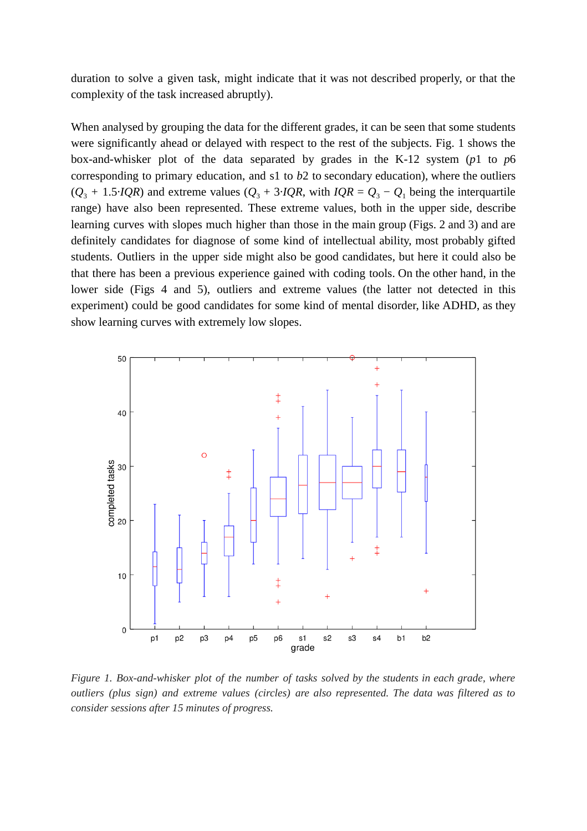duration to solve a given task, might indicate that it was not described properly, or that the complexity of the task increased abruptly).

When analysed by grouping the data for the different grades, it can be seen that some students were significantly ahead or delayed with respect to the rest of the subjects. Fig. 1 shows the box-and-whisker plot of the data separated by grades in the K-12 system ( $p1$  to  $p6$ corresponding to primary education, and s1 to *b*2 to secondary education), where the outliers  $(Q_3 + 1.5 \cdot IQR)$  and extreme values  $(Q_3 + 3 \cdot IQR)$ , with  $IQR = Q_3 - Q_1$  being the interquartile range) have also been represented. These extreme values, both in the upper side, describe learning curves with slopes much higher than those in the main group (Figs. 2 and 3) and are definitely candidates for diagnose of some kind of intellectual ability, most probably gifted students. Outliers in the upper side might also be good candidates, but here it could also be that there has been a previous experience gained with coding tools. On the other hand, in the lower side (Figs 4 and 5), outliers and extreme values (the latter not detected in this experiment) could be good candidates for some kind of mental disorder, like ADHD, as they show learning curves with extremely low slopes.



*Figure 1. Box-and-whisker plot of the number of tasks solved by the students in each grade, where outliers (plus sign) and extreme values (circles) are also represented. The data was filtered as to consider sessions after 15 minutes of progress.*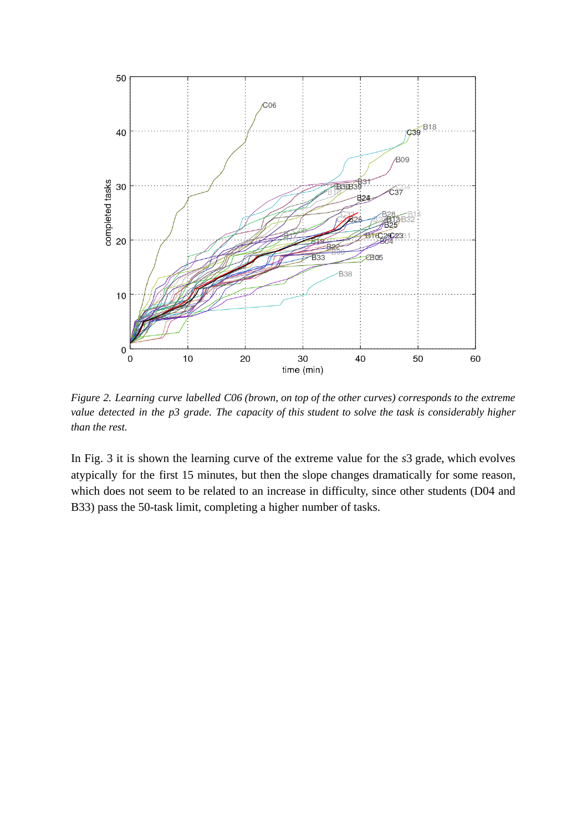

*Figure 2. Learning curve labelled C06 (brown, on top of the other curves) corresponds to the extreme* value detected in the p3 grade. The capacity of this student to solve the task is considerably higher *than the rest.*

In Fig. 3 it is shown the learning curve of the extreme value for the *s*3 grade, which evolves atypically for the first 15 minutes, but then the slope changes dramatically for some reason, which does not seem to be related to an increase in difficulty, since other students (D04 and B33) pass the 50-task limit, completing a higher number of tasks.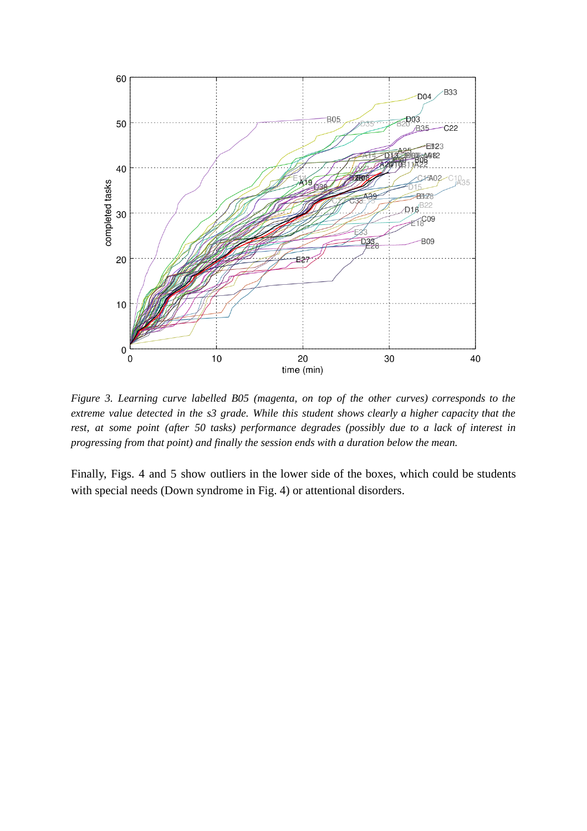

*Figure 3. Learning curve labelled B05 (magenta, on top of the other curves) corresponds to the extreme value detected in the s3 grade. While this student shows clearly a higher capacity that the rest, at some point (after 50 tasks) performance degrades (possibly due to a lack of interest in progressing from that point) and finally the session ends with a duration below the mean.*

Finally, Figs. 4 and 5 show outliers in the lower side of the boxes, which could be students with special needs (Down syndrome in Fig. 4) or attentional disorders.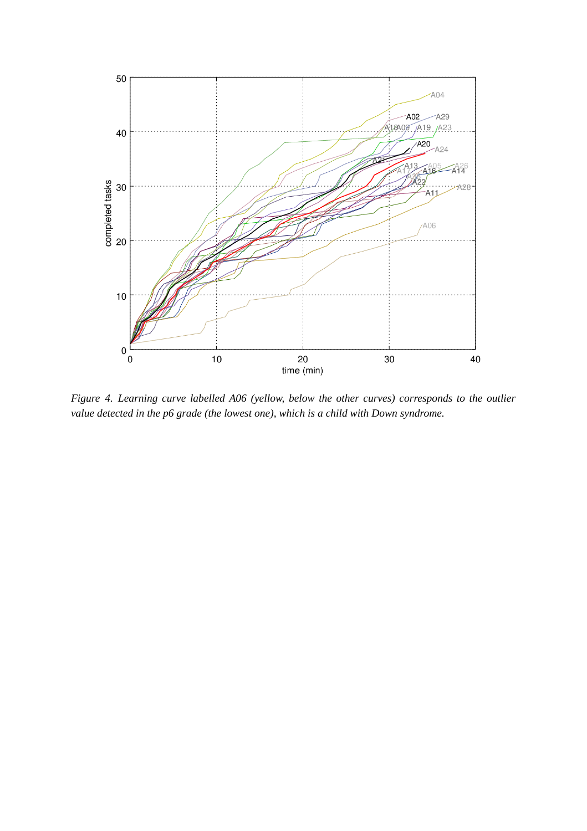

*Figure 4. Learning curve labelled A06 (yellow, below the other curves) corresponds to the outlier value detected in the p6 grade (the lowest one), which is a child with Down syndrome.*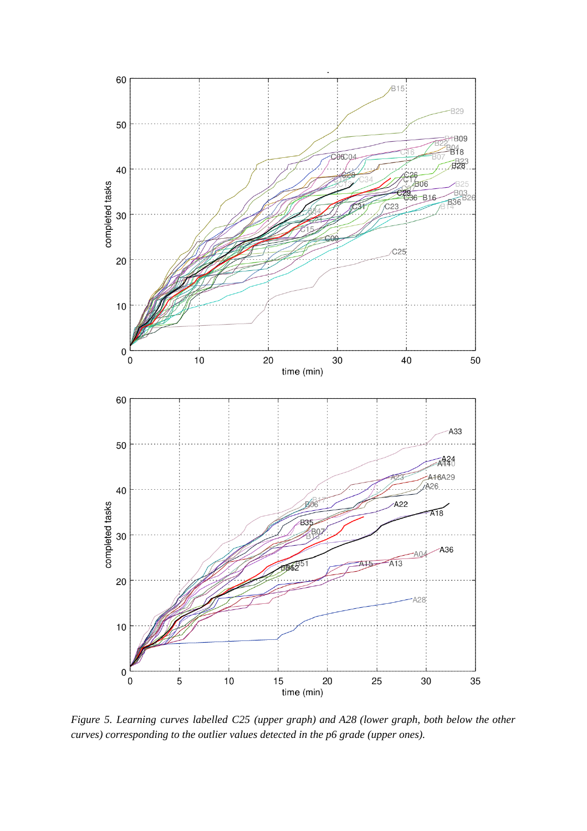

*Figure 5. Learning curves labelled C25 (upper graph) and A28 (lower graph, both below the other curves) corresponding to the outlier values detected in the p6 grade (upper ones).*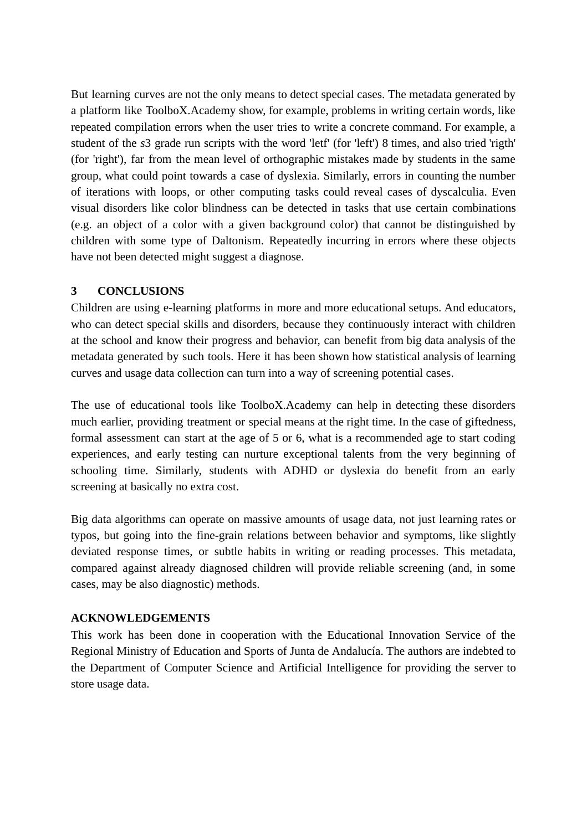But learning curves are not the only means to detect special cases. The metadata generated by a platform like ToolboX.Academy show, for example, problems in writing certain words, like repeated compilation errors when the user tries to write a concrete command. For example, a student of the *s*3 grade run scripts with the word 'letf' (for 'left') 8 times, and also tried 'rigth' (for 'right'), far from the mean level of orthographic mistakes made by students in the same group, what could point towards a case of dyslexia. Similarly, errors in counting the number of iterations with loops, or other computing tasks could reveal cases of dyscalculia. Even visual disorders like color blindness can be detected in tasks that use certain combinations (e.g. an object of a color with a given background color) that cannot be distinguished by children with some type of Daltonism. Repeatedly incurring in errors where these objects have not been detected might suggest a diagnose.

## **3 CONCLUSIONS**

Children are using e-learning platforms in more and more educational setups. And educators, who can detect special skills and disorders, because they continuously interact with children at the school and know their progress and behavior, can benefit from big data analysis of the metadata generated by such tools. Here it has been shown how statistical analysis of learning curves and usage data collection can turn into a way of screening potential cases.

The use of educational tools like ToolboX.Academy can help in detecting these disorders much earlier, providing treatment or special means at the right time. In the case of giftedness, formal assessment can start at the age of 5 or 6, what is a recommended age to start coding experiences, and early testing can nurture exceptional talents from the very beginning of schooling time. Similarly, students with ADHD or dyslexia do benefit from an early screening at basically no extra cost.

Big data algorithms can operate on massive amounts of usage data, not just learning rates or typos, but going into the fine-grain relations between behavior and symptoms, like slightly deviated response times, or subtle habits in writing or reading processes. This metadata, compared against already diagnosed children will provide reliable screening (and, in some cases, may be also diagnostic) methods.

#### **ACKNOWLEDGEMENTS**

This work has been done in cooperation with the Educational Innovation Service of the Regional Ministry of Education and Sports of Junta de Andalucía. The authors are indebted to the Department of Computer Science and Artificial Intelligence for providing the server to store usage data.